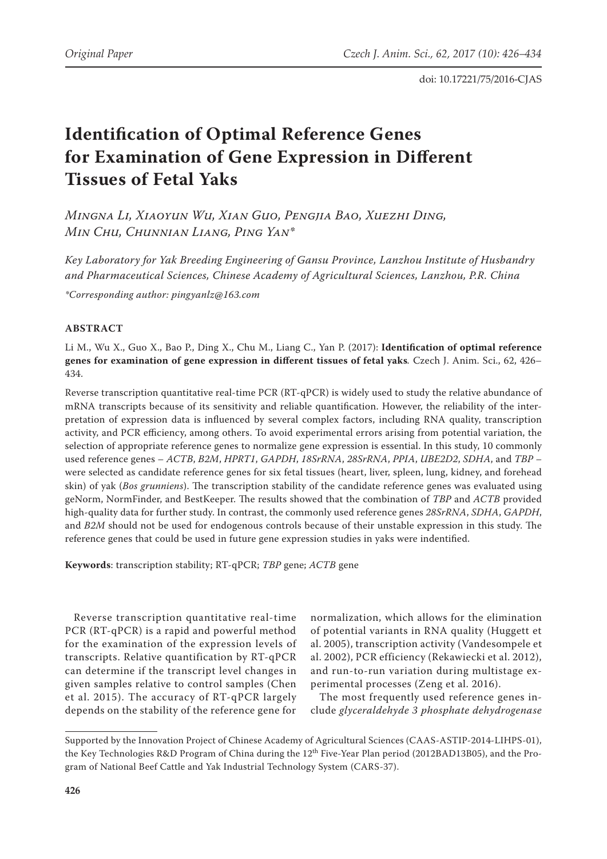# **Identification of Optimal Reference Genes for Examination of Gene Expression in Different Tissues of Fetal Yaks**

*Mingna Li, Xiaoyun Wu, Xian Guo, Pengjia Bao, Xuezhi Ding, Min Chu, Chunnian Liang, Ping Yan\**

*Key Laboratory for Yak Breeding Engineering of Gansu Province, Lanzhou Institute of Husbandry and Pharmaceutical Sciences, Chinese Academy of Agricultural Sciences, Lanzhou, P.R. China*

*\*Corresponding author: [pingyanlz@163.com](mailto:pingyanlz@163.com)*

# **ABSTRACT**

Li M., Wu X., Guo X., Bao P., Ding X., Chu M., Liang C., Yan P. (2017): **Identification of optimal reference genes for examination of gene expression in different tissues of fetal yaks***.* Czech J. Anim. Sci., 62, 426– 434.

Reverse transcription quantitative real-time PCR (RT-qPCR) is widely used to study the relative abundance of mRNA transcripts because of its sensitivity and reliable quantification. However, the reliability of the interpretation of expression data is influenced by several complex factors, including RNA quality, transcription activity, and PCR efficiency, among others. To avoid experimental errors arising from potential variation, the selection of appropriate reference genes to normalize gene expression is essential. In this study, 10 commonly used reference genes – *ACTB*, *B2M*, *HPRT1*, *GAPDH*, *18SrRNA*, *28SrRNA*, *PPIA*, *UBE2D2*, *SDHA*, and *TBP –*  were selected as candidate reference genes for six fetal tissues (heart, liver, spleen, lung, kidney, and forehead skin) of yak (*Bos grunniens*). The transcription stability of the candidate reference genes was evaluated using geNorm, NormFinder, and BestKeeper. The results showed that the combination of *TBP* and *ACTB* provided high-quality data for further study. In contrast, the commonly used reference genes *28SrRNA*, *SDHA*, *GAPDH*, and *B2M* should not be used for endogenous controls because of their unstable expression in this study. The reference genes that could be used in future gene expression studies in yaks were indentified.

**Keywords**: transcription stability; RT-qPCR; *TBP* gene; *ACTB* gene

Reverse transcription quantitative real-time PCR (RT-qPCR) is a rapid and powerful method for the examination of the expression levels of transcripts. Relative quantification by RT-qPCR can determine if the transcript level changes in given samples relative to control samples (Chen et al. 2015). The accuracy of RT-qPCR largely depends on the stability of the reference gene for

normalization, which allows for the elimination of potential variants in RNA quality (Huggett et al. 2005), transcription activity (Vandesompele et al. 2002), PCR efficiency (Rekawiecki et al. 2012), and run-to-run variation during multistage experimental processes (Zeng et al. 2016).

The most frequently used reference genes include *glyceraldehyde 3 phosphate dehydrogenase* 

Supported by the Innovation Project of Chinese Academy of Agricultural Sciences (CAAS-ASTIP-2014-LIHPS-01), the Key Technologies R&D Program of China during the 12<sup>th</sup> Five-Year Plan period (2012BAD13B05), and the Program of National Beef Cattle and Yak Industrial Technology System (CARS-37).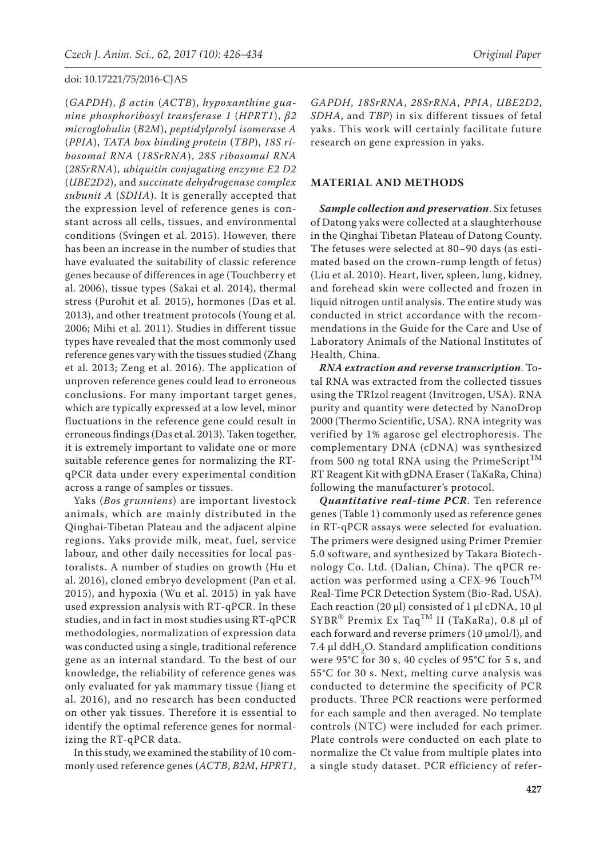(*GAPDH*), *β actin* (*ACTB*), *hypoxanthine guanine phosphoribosyl transferase 1* (*HPRT1*), *β2 microglobulin* (*B2M*), *peptidylprolyl isomerase A*  (*PPIA*), *TATA box binding protein* (*TBP*), *18S ribosomal RNA* (*18SrRNA*), *28S ribosomal RNA*  (*28SrRNA*), *ubiquitin conjugating enzyme E2 D2*  (*UBE2D2*), and *succinate dehydrogenase complex subunit A* (*SDHA*). It is generally accepted that the expression level of reference genes is constant across all cells, tissues, and environmental conditions (Svingen et al. 2015). However, there has been an increase in the number of studies that have evaluated the suitability of classic reference genes because of differences in age (Touchberry et al. 2006), tissue types (Sakai et al. 2014), thermal stress (Purohit et al. 2015), hormones (Das et al. 2013), and other treatment protocols (Young et al. 2006; Mihi et al. 2011). Studies in different tissue types have revealed that the most commonly used reference genes vary with the tissues studied (Zhang et al. 2013; Zeng et al. 2016). The application of unproven reference genes could lead to erroneous conclusions. For many important target genes, which are typically expressed at a low level, minor fluctuations in the reference gene could result in erroneous findings (Das et al. 2013). Taken together, it is extremely important to validate one or more suitable reference genes for normalizing the RTqPCR data under every experimental condition across a range of samples or tissues.

Yaks (*Bos grunniens*) are important livestock animals, which are mainly distributed in the Qinghai-Tibetan Plateau and the adjacent alpine regions. Yaks provide milk, meat, fuel, service labour, and other daily necessities for local pastoralists. A number of studies on growth (Hu et al. 2016), cloned embryo development (Pan et al. 2015), and hypoxia (Wu et al. 2015) in yak have used expression analysis with RT-qPCR. In these studies, and in fact in most studies using RT-qPCR methodologies, normalization of expression data was conducted using a single, traditional reference gene as an internal standard. To the best of our knowledge, the reliability of reference genes was only evaluated for yak mammary tissue (Jiang et al. 2016), and no research has been conducted on other yak tissues. Therefore it is essential to identify the optimal reference genes for normalizing the RT-qPCR data.

In this study, we examined the stability of 10 commonly used reference genes (*ACTB*, *B2M*, *HPRT1*,

*GAPDH*, *18SrRNA*, *28SrRNA*, *PPIA*, *UBE2D2*, *SDHA*, and *TBP*) in six different tissues of fetal yaks. This work will certainly facilitate future research on gene expression in yaks.

#### **MATERIAL AND METHODS**

*Sample collection and preservation*. Six fetuses of Datong yaks were collected at a slaughterhouse in the Qinghai Tibetan Plateau of Datong County. The fetuses were selected at 80–90 days (as estimated based on the crown-rump length of fetus) (Liu et al. 2010). Heart, liver, spleen, lung, kidney, and forehead skin were collected and frozen in liquid nitrogen until analysis. The entire study was conducted in strict accordance with the recommendations in the Guide for the Care and Use of Laboratory Animals of the National Institutes of Health, China.

*RNA extraction and reverse transcription*. Total RNA was extracted from the collected tissues using the TRIzol reagent (Invitrogen, USA). RNA purity and quantity were detected by NanoDrop 2000 (Thermo Scientific, USA). RNA integrity was verified by 1% agarose gel electrophoresis. The complementary DNA (cDNA) was synthesized from 500 ng total RNA using the PrimeScript<sup>TM</sup> RT Reagent Kit with gDNA Eraser (TaKaRa, China) following the manufacturer's protocol.

*Quantitative real-time PCR*. Ten reference genes (Table 1) commonly used as reference genes in RT-qPCR assays were selected for evaluation. The primers were designed using Primer Premier 5.0 software, and synthesized by Takara Biotechnology Co. Ltd. (Dalian, China). The qPCR reaction was performed using a CFX-96 Touch<sup>TM</sup> Real-Time PCR Detection System (Bio-Rad, USA). Each reaction (20 μl) consisted of 1 μl cDNA, 10 μl SYBR® Premix Ex TaqTM II (TaKaRa), 0.8 μl of each forward and reverse primers (10 μmol/l), and 7.4 μl ddH<sub>2</sub>O. Standard amplification conditions were 95°C for 30 s, 40 cycles of 95°C for 5 s, and 55°C for 30 s. Next, melting curve analysis was conducted to determine the specificity of PCR products. Three PCR reactions were performed for each sample and then averaged. No template controls (NTC) were included for each primer. Plate controls were conducted on each plate to normalize the Ct value from multiple plates into a single study dataset. PCR efficiency of refer-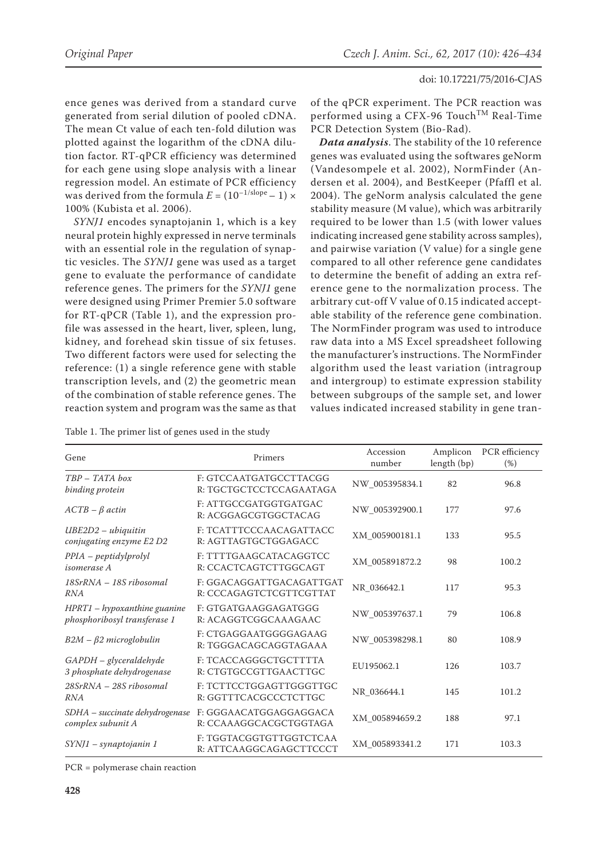ence genes was derived from a standard curve generated from serial dilution of pooled cDNA. The mean Ct value of each ten-fold dilution was plotted against the logarithm of the cDNA dilution factor. RT-qPCR efficiency was determined for each gene using slope analysis with a linear regression model. An estimate of PCR efficiency was derived from the formula  $E = (10^{-1/\text{slope}} - 1) \times$ 100% (Kubista et al. 2006).

*SYNJ1* encodes synaptojanin 1, which is a key neural protein highly expressed in nerve terminals with an essential role in the regulation of synaptic vesicles. The *SYNJ1* gene was used as a target gene to evaluate the performance of candidate reference genes. The primers for the *SYNJ1* gene were designed using Primer Premier 5.0 software for RT-qPCR (Table 1), and the expression profile was assessed in the heart, liver, spleen, lung, kidney, and forehead skin tissue of six fetuses. Two different factors were used for selecting the reference: (1) a single reference gene with stable transcription levels, and (2) the geometric mean of the combination of stable reference genes. The reaction system and program was the same as that of the qPCR experiment. The PCR reaction was performed using a CFX-96 Touch<sup>TM</sup> Real-Time PCR Detection System (Bio-Rad).

*Data analysis*. The stability of the 10 reference genes was evaluated using the softwares geNorm (Vandesompele et al. 2002), NormFinder (Andersen et al. 2004), and BestKeeper (Pfaffl et al. 2004). The geNorm analysis calculated the gene stability measure (M value), which was arbitrarily required to be lower than 1.5 (with lower values indicating increased gene stability across samples), and pairwise variation (V value) for a single gene compared to all other reference gene candidates to determine the benefit of adding an extra reference gene to the normalization process. The arbitrary cut-off V value of 0.15 indicated acceptable stability of the reference gene combination. The NormFinder program was used to introduce raw data into a MS Excel spreadsheet following the manufacturer's instructions. The NormFinder algorithm used the least variation (intragroup and intergroup) to estimate expression stability between subgroups of the sample set, and lower values indicated increased stability in gene tran-

Table 1. The primer list of genes used in the study

| Gene                                                        | Primers                                             | Accession<br>number | Amplicon<br>length (bp) | PCR efficiency<br>$(\%)$ |
|-------------------------------------------------------------|-----------------------------------------------------|---------------------|-------------------------|--------------------------|
| $TBP - TATA$ box<br>binding protein                         | F: GTCCAATGATGCCTTACGG<br>R: TGCTGCTCCTCCAGAATAGA   | NW 005395834.1      | 82                      | 96.8                     |
| $ACTB - \beta$ actin                                        | F: ATTGCCGATGGTGATGAC<br>R: ACGGAGCGTGGCTACAG       | NW_005392900.1      | 177                     | 97.6                     |
| $UBE2D2 - ubiquitin$<br>conjugating enzyme E2 D2            | F: TCATTTCCCAACAGATTACC<br>R: AGTTAGTGCTGGAGACC     | XM_005900181.1      | 133                     | 95.5                     |
| $PPIA - peptidy lprolyl$<br><i>isomerase A</i>              | F: TTTTGAAGCATACAGGTCC<br>R: CCACTCAGTCTTGGCAGT     | XM_005891872.2      | 98                      | 100.2                    |
| 18SrRNA - 18S ribosomal<br><b>RNA</b>                       | F: GGACAGGATTGACAGATTGAT<br>R: CCCAGAGTCTCGTTCGTTAT | NR 036642.1         | 117                     | 95.3                     |
| $HPT1-hypoxanthine guanine$<br>phosphoribosyl transferase 1 | F: GTGATGAAGGAGATGGG<br>R: ACAGGTCGGCAAAGAAC        | NW 005397637.1      | 79                      | 106.8                    |
| $B2M - \beta2$ microglobulin                                | F: CTGAGGAATGGGGAGAAG<br>R: TGGGACAGCAGGTAGAAA      | NW_005398298.1      | 80                      | 108.9                    |
| $GAPDH-glyceraldehyde$<br>3 phosphate dehydrogenase         | F: TCACCAGGGCTGCTTTTA<br>R: CTGTGCCGTTGAACTTGC      | EU195062.1          | 126                     | 103.7                    |
| 28SrRNA - 28S ribosomal<br><b>RNA</b>                       | F: TCTTCCTGGAGTTGGGTTGC<br>R: GGTTTCACGCCCTCTTGC    | NR 036644.1         | 145                     | 101.2                    |
| SDHA - succinate dehydrogenase<br>complex subunit A         | F: GGGAACATGGAGGAGGACA<br>R: CCAAAGGCACGCTGGTAGA    | XM 005894659.2      | 188                     | 97.1                     |
| $SYNI$ – synaptojanin 1                                     | F: TGGTACGGTGTTGGTCTCAA<br>R: ATTCAAGGCAGAGCTTCCCT  | XM 005893341.2      | 171                     | 103.3                    |

PCR = polymerase chain reaction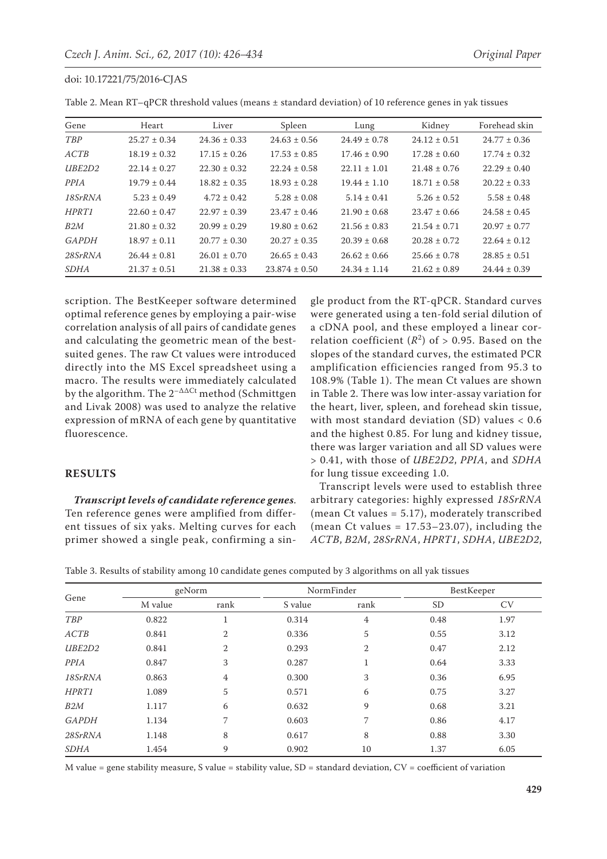| Gene         | Heart            | Liver            | Spleen            | Lung             | Kidney           | Forehead skin    |
|--------------|------------------|------------------|-------------------|------------------|------------------|------------------|
| TBP          | $25.27 \pm 0.34$ | $24.36 \pm 0.33$ | $24.63 \pm 0.56$  | $24.49 \pm 0.78$ | $24.12 \pm 0.51$ | $24.77 \pm 0.36$ |
| ACTB         | $18.19 \pm 0.32$ | $17.15 \pm 0.26$ | $17.53 \pm 0.85$  | $17.46 \pm 0.90$ | $17.28 \pm 0.60$ | $17.74 \pm 0.32$ |
| UBE2D2       | $22.14 \pm 0.27$ | $22.30 \pm 0.32$ | $22.24 \pm 0.58$  | $22.11 \pm 1.01$ | $21.48 \pm 0.76$ | $22.29 \pm 0.40$ |
| PPIA         | $19.79 \pm 0.44$ | $18.82 \pm 0.35$ | $18.93 \pm 0.28$  | $19.44 \pm 1.10$ | $18.71 \pm 0.58$ | $20.22 \pm 0.33$ |
| 18SrRNA      | $5.23 \pm 0.49$  | $4.72 \pm 0.42$  | $5.28 \pm 0.08$   | $5.14 \pm 0.41$  | $5.26 \pm 0.52$  | $5.58 \pm 0.48$  |
| HPRT1        | $22.60 \pm 0.47$ | $22.97 \pm 0.39$ | $23.47 \pm 0.46$  | $21.90 \pm 0.68$ | $23.47 \pm 0.66$ | $24.58 \pm 0.45$ |
| B2M          | $21.80 \pm 0.32$ | $20.99 \pm 0.29$ | $19.80 \pm 0.62$  | $21.56 \pm 0.83$ | $21.54 \pm 0.71$ | $20.97 \pm 0.77$ |
| <b>GAPDH</b> | $18.97 \pm 0.11$ | $20.77 \pm 0.30$ | $20.27 \pm 0.35$  | $20.39 \pm 0.68$ | $20.28 \pm 0.72$ | $22.64 \pm 0.12$ |
| 28SrRNA      | $26.44 \pm 0.81$ | $26.01 \pm 0.70$ | $26.65 \pm 0.43$  | $26.62 \pm 0.66$ | $25.66 \pm 0.78$ | $28.85 \pm 0.51$ |
| <b>SDHA</b>  | $21.37 \pm 0.51$ | $21.38 \pm 0.33$ | $23.874 \pm 0.50$ | $24.34 \pm 1.14$ | $21.62 \pm 0.89$ | $24.44 \pm 0.39$ |

Table 2. Mean RT–qPCR threshold values (means ± standard deviation) of 10 reference genes in yak tissues

scription. The BestKeeper software determined optimal reference genes by employing a pair-wise correlation analysis of all pairs of candidate genes and calculating the geometric mean of the bestsuited genes. The raw Ct values were introduced directly into the MS Excel spreadsheet using a macro. The results were immediately calculated by the algorithm. The  $2^{-\Delta\Delta Ct}$  method (Schmittgen and Livak 2008) was used to analyze the relative expression of mRNA of each gene by quantitative fluorescence.

# **RESULTS**

*Transcript levels of candidate reference genes*. Ten reference genes were amplified from different tissues of six yaks. Melting curves for each primer showed a single peak, confirming a sin-

gle product from the RT-qPCR. Standard curves were generated using a ten-fold serial dilution of a cDNA pool, and these employed a linear correlation coefficient  $(R^2)$  of  $> 0.95$ . Based on the slopes of the standard curves, the estimated PCR amplification efficiencies ranged from 95.3 to 108.9% (Table 1). The mean Ct values are shown in Table 2. There was low inter-assay variation for the heart, liver, spleen, and forehead skin tissue, with most standard deviation (SD) values < 0.6 and the highest 0.85. For lung and kidney tissue, there was larger variation and all SD values were > 0.41, with those of *UBE2D2*, *PPIA*, and *SDHA* for lung tissue exceeding 1.0.

Transcript levels were used to establish three arbitrary categories: highly expressed *18SrRNA* (mean Ct values = 5.17), moderately transcribed (mean Ct values =  $17.53-23.07$ ), including the *ACTB*, *B2M*, *28SrRNA*, *HPRT1*, *SDHA*, *UBE2D2*,

Table 3. Results of stability among 10 candidate genes computed by 3 algorithms on all yak tissues

| Gene         | geNorm  |                   | NormFinder |                | BestKeeper |           |
|--------------|---------|-------------------|------------|----------------|------------|-----------|
|              | M value | rank              | S value    | rank           | <b>SD</b>  | <b>CV</b> |
| <b>TBP</b>   | 0.822   | $\mathbf{1}$<br>T | 0.314      | $\overline{4}$ | 0.48       | 1.97      |
| ACTB         | 0.841   | $\overline{2}$    | 0.336      | 5              | 0.55       | 3.12      |
| UBE2D2       | 0.841   | $\overline{2}$    | 0.293      | $\overline{2}$ | 0.47       | 2.12      |
| <b>PPIA</b>  | 0.847   | 3                 | 0.287      | $\mathbf{1}$   | 0.64       | 3.33      |
| 18SrRNA      | 0.863   | $\overline{4}$    | 0.300      | 3              | 0.36       | 6.95      |
| HPRT1        | 1.089   | 5                 | 0.571      | 6              | 0.75       | 3.27      |
| B2M          | 1.117   | 6                 | 0.632      | 9              | 0.68       | 3.21      |
| <b>GAPDH</b> | 1.134   | 7                 | 0.603      | 7              | 0.86       | 4.17      |
| 28SrRNA      | 1.148   | 8                 | 0.617      | 8              | 0.88       | 3.30      |
| <b>SDHA</b>  | 1.454   | 9                 | 0.902      | 10             | 1.37       | 6.05      |

M value = gene stability measure, S value = stability value,  $SD =$  standard deviation,  $CV =$  coefficient of variation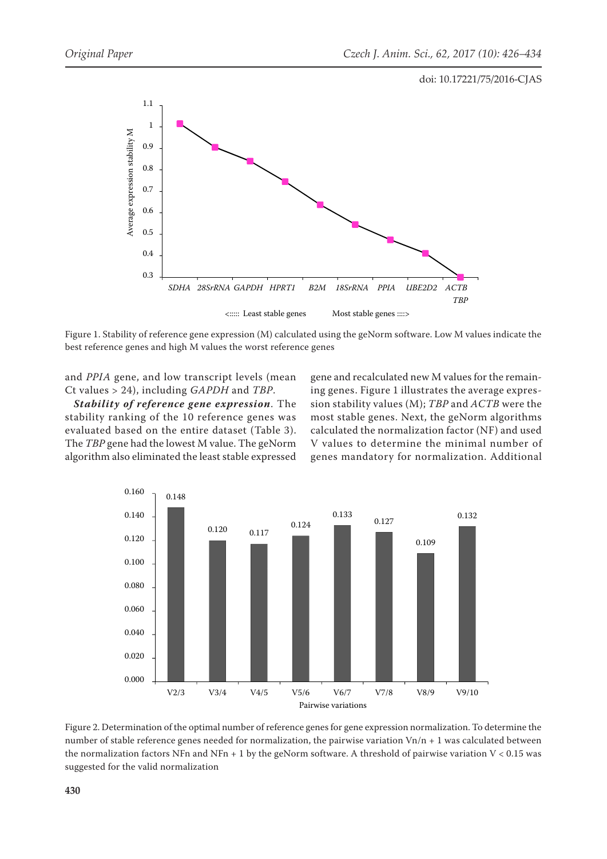

Figure 1. Stability of reference gene expression (M) calculated using the geNorm software. Low M values indicate the best reference genes and high M values the worst reference genes

and *PPIA* gene, and low transcript levels (mean Ct values > 24), including *GAPDH* and *TBP*.

*Stability of reference gene expression*. The stability ranking of the 10 reference genes was evaluated based on the entire dataset (Table 3). The *TBP* gene had the lowest M value. The geNorm algorithm also eliminated the least stable expressed

gene and recalculated new M values for the remaining genes. Figure 1 illustrates the average expression stability values (M); *TBP* and *ACTB* were the most stable genes. Next, the geNorm algorithms calculated the normalization factor (NF) and used V values to determine the minimal number of genes mandatory for normalization. Additional



Figure 2. Determination of the optimal number of reference genes for gene expression normalization. To determine the number of stable reference genes needed for normalization, the pairwise variation  $Vn/n + 1$  was calculated between the normalization factors NFn and NFn + 1 by the geNorm software. A threshold of pairwise variation  $V < 0.15$  was suggested for the valid normalization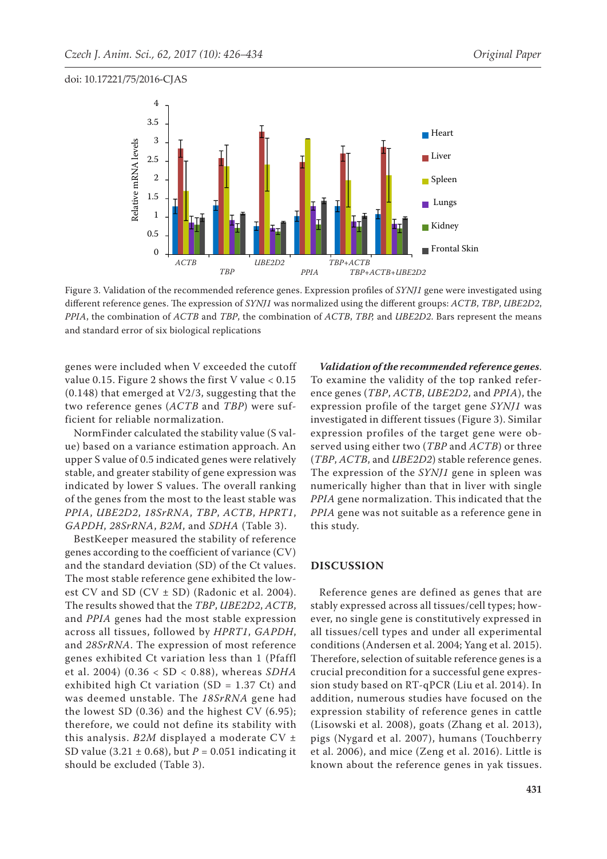

Figure 3. Validation of the recommended reference genes. Expression profiles of *SYNJ1* gene were investigated using different reference genes. The expression of *SYNJ1* was normalized using the different groups: *ACTB*, *TBP*, *UBE2D2*, *PPIA*, the combination of *ACTB* and *TBP*, the combination of *ACTB*, *TBP,* and *UBE2D2*. Bars represent the means and standard error of six biological replications

genes were included when V exceeded the cutoff value 0.15. Figure 2 shows the first V value  $< 0.15$ (0.148) that emerged at V2/3, suggesting that the two reference genes (*ACTB* and *TBP*) were sufficient for reliable normalization.

NormFinder calculated the stability value (S value) based on a variance estimation approach. An upper S value of 0.5 indicated genes were relatively stable, and greater stability of gene expression was indicated by lower S values. The overall ranking of the genes from the most to the least stable was *PPIA*, *UBE2D2*, *18SrRNA*, *TBP*, *ACTB*, *HPRT1*, *GAPDH*, *28SrRNA*, *B2M*, and *SDHA* (Table 3).

BestKeeper measured the stability of reference genes according to the coefficient of variance (CV) and the standard deviation (SD) of the Ct values. The most stable reference gene exhibited the lowest CV and SD (CV ± SD) (Radonic et al. 2004). The results showed that the *TBP*, *UBE2D2*, *ACTB*, and *PPIA* genes had the most stable expression across all tissues, followed by *HPRT1*, *GAPDH*, and *28SrRNA*. The expression of most reference genes exhibited Ct variation less than 1 (Pfaffl et al. 2004) (0.36 < SD < 0.88), whereas *SDHA* exhibited high Ct variation (SD = 1.37 Ct) and was deemed unstable. The *18SrRNA* gene had the lowest SD (0.36) and the highest CV (6.95); therefore, we could not define its stability with this analysis. *B2M* displayed a moderate CV ± SD value (3.21 ± 0.68), but *P* = 0.051 indicating it should be excluded (Table 3).

*Validation of the recommended reference genes*. To examine the validity of the top ranked reference genes (*TBP*, *ACTB*, *UBE2D2*, and *PPIA*), the expression profile of the target gene *SYNJ1* was investigated in different tissues (Figure 3). Similar expression profiles of the target gene were observed using either two (*TBP* and *ACTB*) or three (*TBP*, *ACTB*, and *UBE2D2*) stable reference genes. The expression of the *SYNJ1* gene in spleen was numerically higher than that in liver with single *PPIA* gene normalization. This indicated that the *PPIA* gene was not suitable as a reference gene in this study.

## **DISCUSSION**

Reference genes are defined as genes that are stably expressed across all tissues/cell types; however, no single gene is constitutively expressed in all tissues/cell types and under all experimental conditions (Andersen et al. 2004; Yang et al. 2015). Therefore, selection of suitable reference genes is a crucial precondition for a successful gene expression study based on RT-qPCR (Liu et al. 2014). In addition, numerous studies have focused on the expression stability of reference genes in cattle (Lisowski et al. 2008), goats (Zhang et al. 2013), pigs (Nygard et al. 2007), humans (Touchberry et al. 2006), and mice (Zeng et al. 2016). Little is known about the reference genes in yak tissues.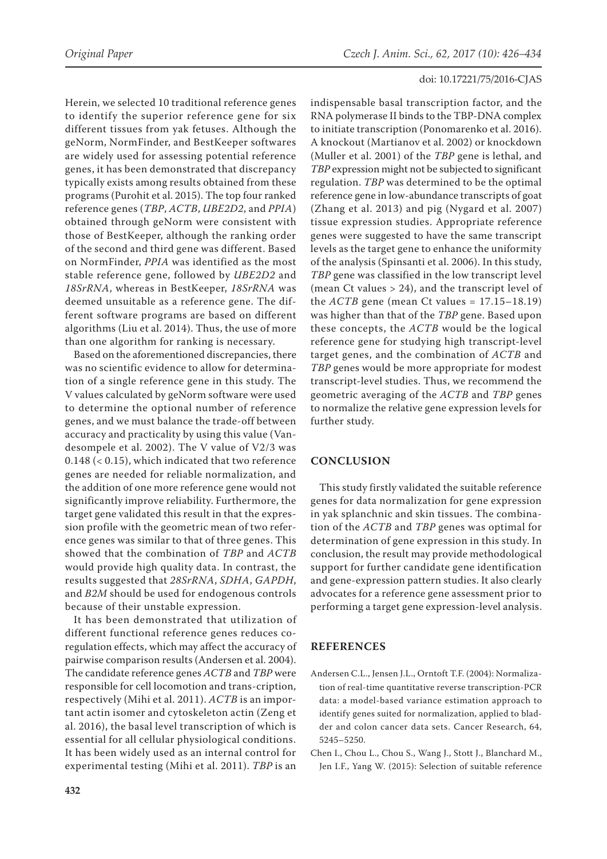Herein, we selected 10 traditional reference genes to identify the superior reference gene for six different tissues from yak fetuses. Although the geNorm, NormFinder, and BestKeeper softwares are widely used for assessing potential reference genes, it has been demonstrated that discrepancy typically exists among results obtained from these programs (Purohit et al. 2015). The top four ranked reference genes (*TBP*, *ACTB*, *UBE2D2*, and *PPIA*) obtained through geNorm were consistent with those of BestKeeper, although the ranking order of the second and third gene was different. Based on NormFinder, *PPIA* was identified as the most stable reference gene, followed by *UBE2D2* and *18SrRNA*, whereas in BestKeeper, *18SrRNA* was deemed unsuitable as a reference gene. The different software programs are based on different algorithms (Liu et al. 2014). Thus, the use of more than one algorithm for ranking is necessary.

Based on the aforementioned discrepancies, there was no scientific evidence to allow for determination of a single reference gene in this study. The V values calculated by geNorm software were used to determine the optional number of reference genes, and we must balance the trade-off between accuracy and practicality by using this value (Vandesompele et al. 2002). The V value of V2/3 was 0.148 (< 0.15), which indicated that two reference genes are needed for reliable normalization, and the addition of one more reference gene would not significantly improve reliability. Furthermore, the target gene validated this result in that the expression profile with the geometric mean of two reference genes was similar to that of three genes. This showed that the combination of *TBP* and *ACTB* would provide high quality data. In contrast, the results suggested that *28SrRNA*, *SDHA*, *GAPDH*, and *B2M* should be used for endogenous controls because of their unstable expression.

It has been demonstrated that utilization of different functional reference genes reduces coregulation effects, which may affect the accuracy of pairwise comparison results (Andersen et al. 2004). The candidate reference genes *ACTB* and *TBP* were responsible for cell locomotion and trans-cription, respectively (Mihi et al. 2011). *ACTB* is an important actin isomer and cytoskeleton actin (Zeng et al. 2016), the basal level transcription of which is essential for all cellular physiological conditions. It has been widely used as an internal control for experimental testing (Mihi et al. 2011). *TBP* is an

**432**

indispensable basal transcription factor, and the RNA polymerase II binds to the TBP-DNA complex to initiate transcription (Ponomarenko et al. 2016). A knockout (Martianov et al. 2002) or knockdown (Muller et al. 2001) of the *TBP* gene is lethal, and *TBP* expression might not be subjected to significant regulation. *TBP* was determined to be the optimal reference gene in low-abundance transcripts of goat (Zhang et al. 2013) and pig (Nygard et al. 2007) tissue expression studies. Appropriate reference genes were suggested to have the same transcript levels as the target gene to enhance the uniformity of the analysis (Spinsanti et al. 2006). In this study, *TBP* gene was classified in the low transcript level (mean Ct values > 24), and the transcript level of the  $ACTB$  gene (mean Ct values =  $17.15-18.19$ ) was higher than that of the *TBP* gene. Based upon these concepts, the *ACTB* would be the logical reference gene for studying high transcript-level target genes, and the combination of *ACTB* and *TBP* genes would be more appropriate for modest transcript-level studies. Thus, we recommend the geometric averaging of the *ACTB* and *TBP* genes to normalize the relative gene expression levels for further study.

## **CONCLUSION**

This study firstly validated the suitable reference genes for data normalization for gene expression in yak splanchnic and skin tissues. The combination of the *ACTB* and *TBP* genes was optimal for determination of gene expression in this study. In conclusion, the result may provide methodological support for further candidate gene identification and gene-expression pattern studies. It also clearly advocates for a reference gene assessment prior to performing a target gene expression-level analysis.

## **REFERENCES**

- Andersen C.L., Jensen J.L., Orntoft T.F. (2004): Normalization of real-time quantitative reverse transcription-PCR data: a model-based variance estimation approach to identify genes suited for normalization, applied to bladder and colon cancer data sets. Cancer Research, 64, 5245–5250.
- Chen I., Chou L., Chou S., Wang J., Stott J., Blanchard M., Jen I.F., Yang W. (2015): Selection of suitable reference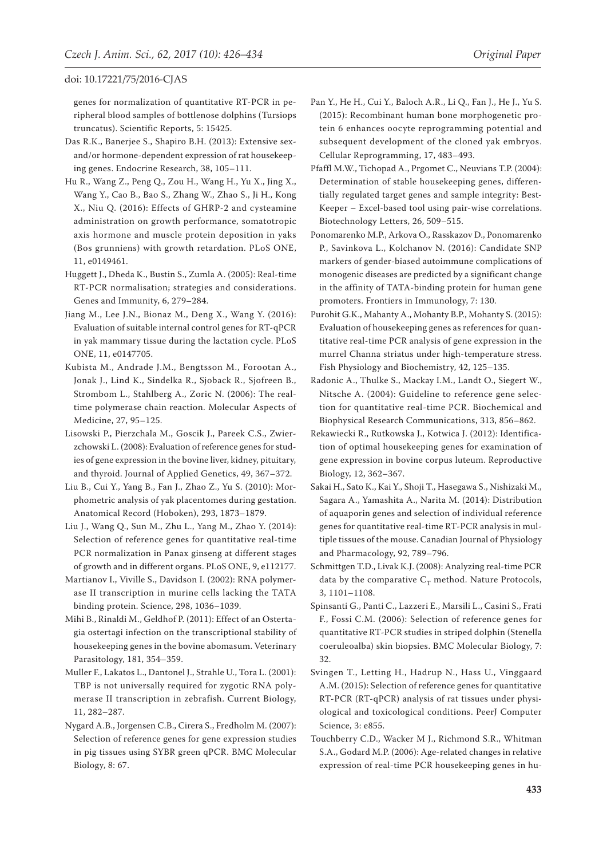genes for normalization of quantitative RT-PCR in peripheral blood samples of bottlenose dolphins (Tursiops truncatus). Scientific Reports, 5: 15425.

- Das R.K., Banerjee S., Shapiro B.H. (2013): Extensive sexand/or hormone-dependent expression of rat housekeeping genes. Endocrine Research, 38, 105–111.
- Hu R., Wang Z., Peng Q., Zou H., Wang H., Yu X., Jing X., Wang Y., Cao B., Bao S., Zhang W., Zhao S., Ji H., Kong X., Niu Q. (2016): Effects of GHRP-2 and cysteamine administration on growth performance, somatotropic axis hormone and muscle protein deposition in yaks (Bos grunniens) with growth retardation. PLoS ONE, 11, e0149461.
- Huggett J., Dheda K., Bustin S., Zumla A. (2005): Real-time RT-PCR normalisation; strategies and considerations. Genes and Immunity, 6, 279–284.
- Jiang M., Lee J.N., Bionaz M., Deng X., Wang Y. (2016): Evaluation of suitable internal control genes for RT-qPCR in yak mammary tissue during the lactation cycle. PLoS ONE, 11, e0147705.
- Kubista M., Andrade J.M., Bengtsson M., Forootan A., Jonak J., Lind K., Sindelka R., Sjoback R., Sjofreen B., Strombom L., Stahlberg A., Zoric N. (2006): The realtime polymerase chain reaction. Molecular Aspects of Medicine, 27, 95–125.
- Lisowski P., Pierzchala M., Goscik J., Pareek C.S., Zwierzchowski L. (2008): Evaluation of reference genes for studies of gene expression in the bovine liver, kidney, pituitary, and thyroid. Journal of Applied Genetics, 49, 367–372.
- Liu B., Cui Y., Yang B., Fan J., Zhao Z., Yu S. (2010): Morphometric analysis of yak placentomes during gestation. Anatomical Record (Hoboken), 293, 1873–1879.
- Liu J., Wang Q., Sun M., Zhu L., Yang M., Zhao Y. (2014): Selection of reference genes for quantitative real-time PCR normalization in Panax ginseng at different stages of growth and in different organs. PLoS ONE, 9, e112177.
- Martianov I., Viville S., Davidson I. (2002): RNA polymerase II transcription in murine cells lacking the TATA binding protein. Science, 298, 1036–1039.
- Mihi B., Rinaldi M., Geldhof P. (2011): Effect of an Ostertagia ostertagi infection on the transcriptional stability of housekeeping genes in the bovine abomasum. Veterinary Parasitology, 181, 354–359.
- Muller F., Lakatos L., Dantonel J., Strahle U., Tora L. (2001): TBP is not universally required for zygotic RNA polymerase II transcription in zebrafish. Current Biology, 11, 282–287.
- Nygard A.B., Jorgensen C.B., Cirera S., Fredholm M. (2007): Selection of reference genes for gene expression studies in pig tissues using SYBR green qPCR. BMC Molecular Biology, 8: 67.
- Pan Y., He H., Cui Y., Baloch A.R., Li Q., Fan J., He J., Yu S. (2015): Recombinant human bone morphogenetic protein 6 enhances oocyte reprogramming potential and subsequent development of the cloned yak embryos. Cellular Reprogramming, 17, 483–493.
- Pfaffl M.W., Tichopad A., Prgomet C., Neuvians T.P. (2004): Determination of stable housekeeping genes, differentially regulated target genes and sample integrity: Best-Keeper – Excel-based tool using pair-wise correlations. Biotechnology Letters, 26, 509–515.
- Ponomarenko M.P., Arkova O., Rasskazov D., Ponomarenko P., Savinkova L., Kolchanov N. (2016): Candidate SNP markers of gender-biased autoimmune complications of monogenic diseases are predicted by a significant change in the affinity of TATA-binding protein for human gene promoters. Frontiers in Immunology, 7: 130.
- Purohit G.K., Mahanty A., Mohanty B.P., Mohanty S. (2015): Evaluation of housekeeping genes as references for quantitative real-time PCR analysis of gene expression in the murrel Channa striatus under high-temperature stress. Fish Physiology and Biochemistry, 42, 125–135.
- Radonic A., Thulke S., Mackay I.M., Landt O., Siegert W., Nitsche A. (2004): Guideline to reference gene selection for quantitative real-time PCR. Biochemical and Biophysical Research Communications, 313, 856–862.
- Rekawiecki R., Rutkowska J., Kotwica J. (2012): Identification of optimal housekeeping genes for examination of gene expression in bovine corpus luteum. Reproductive Biology, 12, 362–367.
- Sakai H., Sato K., Kai Y., Shoji T., Hasegawa S., Nishizaki M., Sagara A., Yamashita A., Narita M. (2014): Distribution of aquaporin genes and selection of individual reference genes for quantitative real-time RT-PCR analysis in multiple tissues of the mouse. Canadian Journal of Physiology and Pharmacology, 92, 789–796.
- Schmittgen T.D., Livak K.J. (2008): Analyzing real-time PCR data by the comparative  $C_T$  method. Nature Protocols, 3, 1101–1108.
- Spinsanti G., Panti C., Lazzeri E., Marsili L., Casini S., Frati F., Fossi C.M. (2006): Selection of reference genes for quantitative RT-PCR studies in striped dolphin (Stenella coeruleoalba) skin biopsies. BMC Molecular Biology, 7: 32.
- Svingen T., Letting H., Hadrup N., Hass U., Vinggaard A.M. (2015): Selection of reference genes for quantitative RT-PCR (RT-qPCR) analysis of rat tissues under physiological and toxicological conditions. PeerJ Computer Science, 3: e855.
- Touchberry C.D., Wacker M J., Richmond S.R., Whitman S.A., Godard M.P. (2006): Age-related changes in relative expression of real-time PCR housekeeping genes in hu-